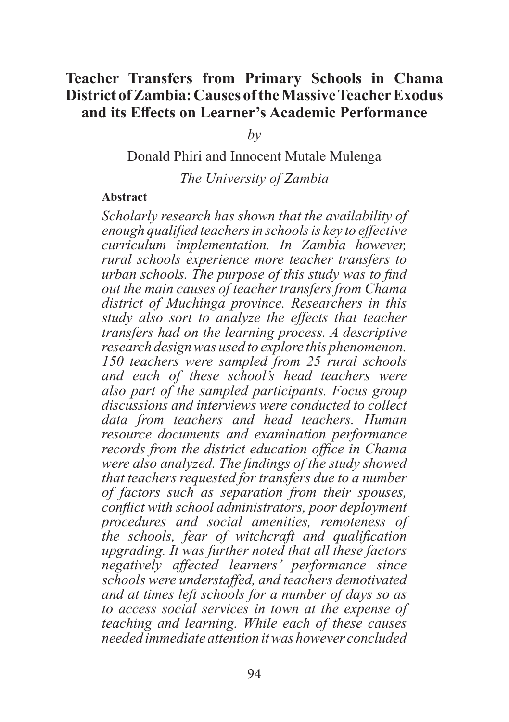## **Teacher Transfers from Primary Schools in Chama District of Zambia: Causes of the Massive Teacher Exodus and its Effects on Learner's Academic Performance**

*by*

Donald Phiri and Innocent Mutale Mulenga

*The University of Zambia*

#### **Abstract**

*Scholarly research has shown that the availability of enough qualified teachers in schools is key to effective curriculum implementation. In Zambia however, rural schools experience more teacher transfers to urban schools. The purpose of this study was to find out the main causes of teacher transfers from Chama district of Muchinga province. Researchers in this study also sort to analyze the effects that teacher transfers had on the learning process. A descriptive research design was used to explore this phenomenon. 150 teachers were sampled from 25 rural schools and each of these school's head teachers were also part of the sampled participants. Focus group discussions and interviews were conducted to collect data from teachers and head teachers. Human resource documents and examination performance records from the district education office in Chama were also analyzed. The findings of the study showed that teachers requested for transfers due to a number of factors such as separation from their spouses, conflict with school administrators, poor deployment procedures and social amenities, remoteness of the schools, fear of witchcraft and qualification upgrading. It was further noted that all these factors negatively affected learners' performance since schools were understaffed, and teachers demotivated and at times left schools for a number of days so as to access social services in town at the expense of teaching and learning. While each of these causes needed immediate attention it was however concluded*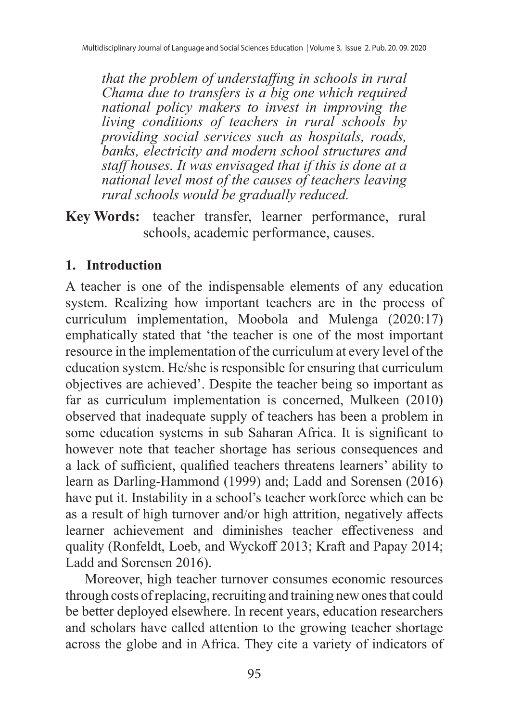*that the problem of understaffing in schools in rural Chama due to transfers is a big one which required national policy makers to invest in improving the living conditions of teachers in rural schools by providing social services such as hospitals, roads, banks, electricity and modern school structures and staff houses. It was envisaged that if this is done at a national level most of the causes of teachers leaving rural schools would be gradually reduced.*

**Key Words:** teacher transfer, learner performance, rural schools, academic performance, causes.

#### **1. Introduction**

A teacher is one of the indispensable elements of any education system. Realizing how important teachers are in the process of curriculum implementation, Moobola and Mulenga (2020:17) emphatically stated that 'the teacher is one of the most important resource in the implementation of the curriculum at every level of the education system. He/she is responsible for ensuring that curriculum objectives are achieved'. Despite the teacher being so important as far as curriculum implementation is concerned, Mulkeen (2010) observed that inadequate supply of teachers has been a problem in some education systems in sub Saharan Africa. It is significant to however note that teacher shortage has serious consequences and a lack of sufficient, qualified teachers threatens learners' ability to learn as Darling-Hammond (1999) and; Ladd and Sorensen (2016) have put it. Instability in a school's teacher workforce which can be as a result of high turnover and/or high attrition, negatively affects learner achievement and diminishes teacher effectiveness and quality (Ronfeldt, Loeb, and Wyckoff 2013; Kraft and Papay 2014; Ladd and Sorensen 2016).

Moreover, high teacher turnover consumes economic resources through costs of replacing, recruiting and training new ones that could be better deployed elsewhere. In recent years, education researchers and scholars have called attention to the growing teacher shortage across the globe and in Africa. They cite a variety of indicators of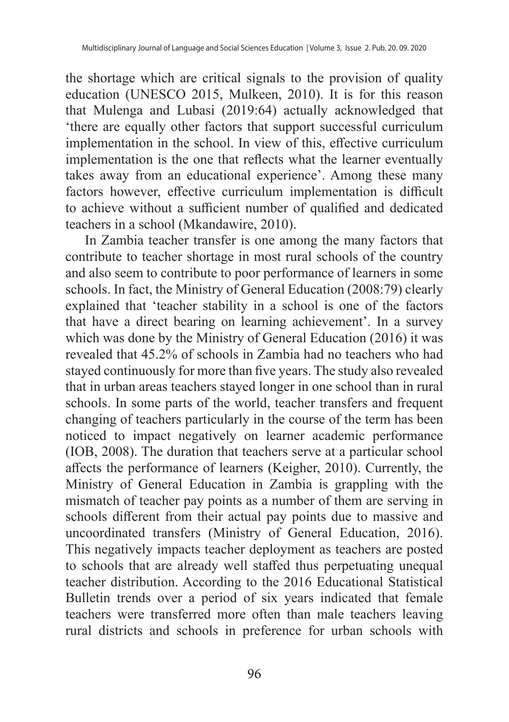the shortage which are critical signals to the provision of quality education (UNESCO 2015, Mulkeen, 2010). It is for this reason that Mulenga and Lubasi (2019:64) actually acknowledged that 'there are equally other factors that support successful curriculum implementation in the school. In view of this, effective curriculum implementation is the one that reflects what the learner eventually takes away from an educational experience'. Among these many factors however, effective curriculum implementation is difficult to achieve without a sufficient number of qualified and dedicated teachers in a school (Mkandawire, 2010).

In Zambia teacher transfer is one among the many factors that contribute to teacher shortage in most rural schools of the country and also seem to contribute to poor performance of learners in some schools. In fact, the Ministry of General Education (2008:79) clearly explained that 'teacher stability in a school is one of the factors that have a direct bearing on learning achievement'. In a survey which was done by the Ministry of General Education (2016) it was revealed that 45.2% of schools in Zambia had no teachers who had stayed continuously for more than five years. The study also revealed that in urban areas teachers stayed longer in one school than in rural schools. In some parts of the world, teacher transfers and frequent changing of teachers particularly in the course of the term has been noticed to impact negatively on learner academic performance (IOB, 2008). The duration that teachers serve at a particular school affects the performance of learners (Keigher, 2010). Currently, the Ministry of General Education in Zambia is grappling with the mismatch of teacher pay points as a number of them are serving in schools different from their actual pay points due to massive and uncoordinated transfers (Ministry of General Education, 2016). This negatively impacts teacher deployment as teachers are posted to schools that are already well staffed thus perpetuating unequal teacher distribution. According to the 2016 Educational Statistical Bulletin trends over a period of six years indicated that female teachers were transferred more often than male teachers leaving rural districts and schools in preference for urban schools with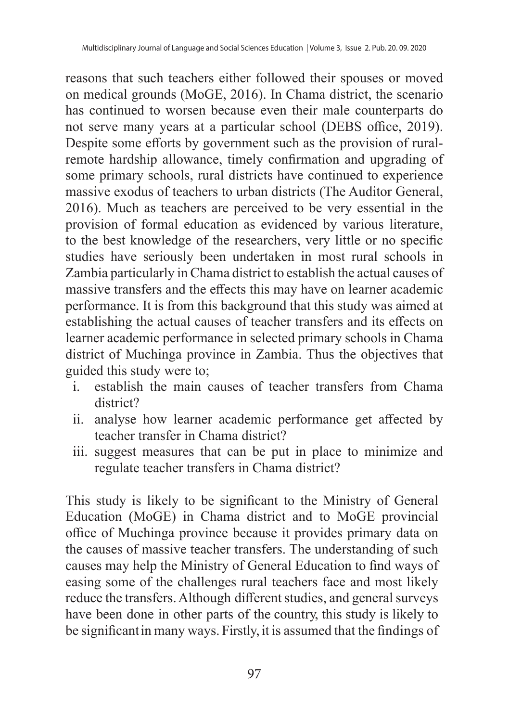reasons that such teachers either followed their spouses or moved on medical grounds (MoGE, 2016). In Chama district, the scenario has continued to worsen because even their male counterparts do not serve many years at a particular school (DEBS office, 2019). Despite some efforts by government such as the provision of ruralremote hardship allowance, timely confirmation and upgrading of some primary schools, rural districts have continued to experience massive exodus of teachers to urban districts (The Auditor General, 2016). Much as teachers are perceived to be very essential in the provision of formal education as evidenced by various literature, to the best knowledge of the researchers, very little or no specific studies have seriously been undertaken in most rural schools in Zambia particularly in Chama district to establish the actual causes of massive transfers and the effects this may have on learner academic performance. It is from this background that this study was aimed at establishing the actual causes of teacher transfers and its effects on learner academic performance in selected primary schools in Chama district of Muchinga province in Zambia. Thus the objectives that guided this study were to;

- i. establish the main causes of teacher transfers from Chama district?
- ii. analyse how learner academic performance get affected by teacher transfer in Chama district?
- iii. suggest measures that can be put in place to minimize and regulate teacher transfers in Chama district?

This study is likely to be significant to the Ministry of General Education (MoGE) in Chama district and to MoGE provincial office of Muchinga province because it provides primary data on the causes of massive teacher transfers. The understanding of such causes may help the Ministry of General Education to find ways of easing some of the challenges rural teachers face and most likely reduce the transfers. Although different studies, and general surveys have been done in other parts of the country, this study is likely to be significantin many ways. Firstly, it is assumed that the findings of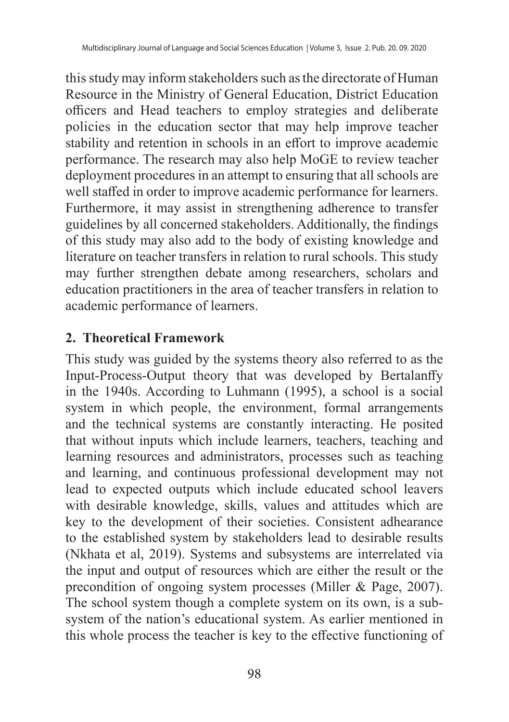this study may inform stakeholders such as the directorate of Human Resource in the Ministry of General Education, District Education officers and Head teachers to employ strategies and deliberate policies in the education sector that may help improve teacher stability and retention in schools in an effort to improve academic performance. The research may also help MoGE to review teacher deployment procedures in an attempt to ensuring that all schools are well staffed in order to improve academic performance for learners. Furthermore, it may assist in strengthening adherence to transfer guidelines by all concerned stakeholders. Additionally, the findings of this study may also add to the body of existing knowledge and literature on teacher transfers in relation to rural schools. This study may further strengthen debate among researchers, scholars and education practitioners in the area of teacher transfers in relation to academic performance of learners.

## **2. Theoretical Framework**

This study was guided by the systems theory also referred to as the Input-Process-Output theory that was developed by Bertalanffy in the 1940s. According to Luhmann (1995), a school is a social system in which people, the environment, formal arrangements and the technical systems are constantly interacting. He posited that without inputs which include learners, teachers, teaching and learning resources and administrators, processes such as teaching and learning, and continuous professional development may not lead to expected outputs which include educated school leavers with desirable knowledge, skills, values and attitudes which are key to the development of their societies. Consistent adhearance to the established system by stakeholders lead to desirable results (Nkhata et al, 2019). Systems and subsystems are interrelated via the input and output of resources which are either the result or the precondition of ongoing system processes (Miller & Page, 2007). The school system though a complete system on its own, is a subsystem of the nation's educational system. As earlier mentioned in this whole process the teacher is key to the effective functioning of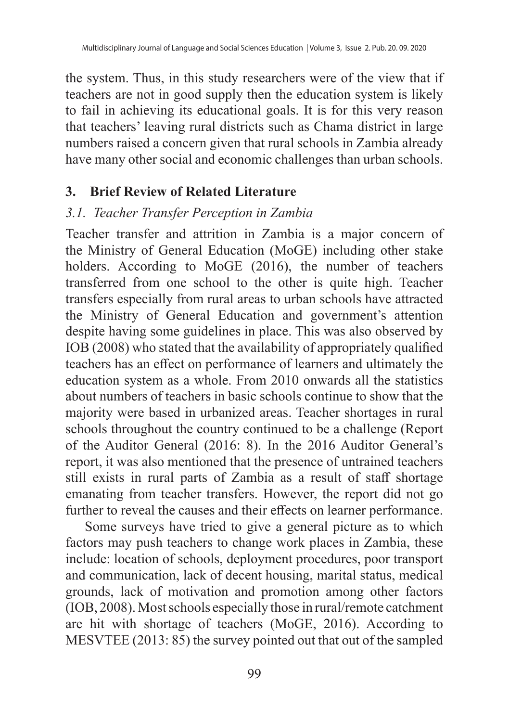the system. Thus, in this study researchers were of the view that if teachers are not in good supply then the education system is likely to fail in achieving its educational goals. It is for this very reason that teachers' leaving rural districts such as Chama district in large numbers raised a concern given that rural schools in Zambia already have many other social and economic challenges than urban schools.

#### **3. Brief Review of Related Literature**

#### *3.1. Teacher Transfer Perception in Zambia*

Teacher transfer and attrition in Zambia is a major concern of the Ministry of General Education (MoGE) including other stake holders. According to MoGE (2016), the number of teachers transferred from one school to the other is quite high. Teacher transfers especially from rural areas to urban schools have attracted the Ministry of General Education and government's attention despite having some guidelines in place. This was also observed by IOB (2008) who stated that the availability of appropriately qualified teachers has an effect on performance of learners and ultimately the education system as a whole. From 2010 onwards all the statistics about numbers of teachers in basic schools continue to show that the majority were based in urbanized areas. Teacher shortages in rural schools throughout the country continued to be a challenge (Report of the Auditor General (2016: 8). In the 2016 Auditor General's report, it was also mentioned that the presence of untrained teachers still exists in rural parts of Zambia as a result of staff shortage emanating from teacher transfers. However, the report did not go further to reveal the causes and their effects on learner performance.

Some surveys have tried to give a general picture as to which factors may push teachers to change work places in Zambia, these include: location of schools, deployment procedures, poor transport and communication, lack of decent housing, marital status, medical grounds, lack of motivation and promotion among other factors (IOB, 2008). Most schools especially those in rural/remote catchment are hit with shortage of teachers (MoGE, 2016). According to MESVTEE (2013: 85) the survey pointed out that out of the sampled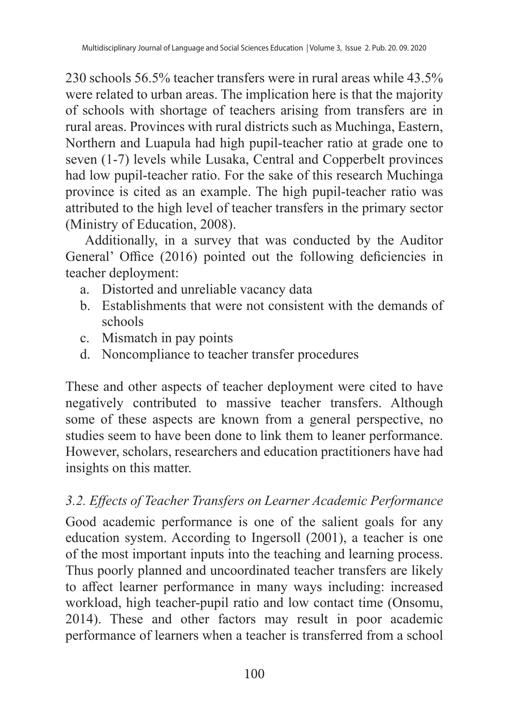230 schools 56.5% teacher transfers were in rural areas while 43.5% were related to urban areas. The implication here is that the majority of schools with shortage of teachers arising from transfers are in rural areas. Provinces with rural districts such as Muchinga, Eastern, Northern and Luapula had high pupil-teacher ratio at grade one to seven (1-7) levels while Lusaka, Central and Copperbelt provinces had low pupil-teacher ratio. For the sake of this research Muchinga province is cited as an example. The high pupil-teacher ratio was attributed to the high level of teacher transfers in the primary sector (Ministry of Education, 2008).

Additionally, in a survey that was conducted by the Auditor General' Office (2016) pointed out the following deficiencies in teacher deployment:

- a. Distorted and unreliable vacancy data
- b. Establishments that were not consistent with the demands of schools
- c. Mismatch in pay points
- d. Noncompliance to teacher transfer procedures

These and other aspects of teacher deployment were cited to have negatively contributed to massive teacher transfers. Although some of these aspects are known from a general perspective, no studies seem to have been done to link them to leaner performance. However, scholars, researchers and education practitioners have had insights on this matter.

# *3.2. Effects of Teacher Transfers on Learner Academic Performance*

Good academic performance is one of the salient goals for any education system. According to Ingersoll (2001), a teacher is one of the most important inputs into the teaching and learning process. Thus poorly planned and uncoordinated teacher transfers are likely to affect learner performance in many ways including: increased workload, high teacher-pupil ratio and low contact time (Onsomu, 2014). These and other factors may result in poor academic performance of learners when a teacher is transferred from a school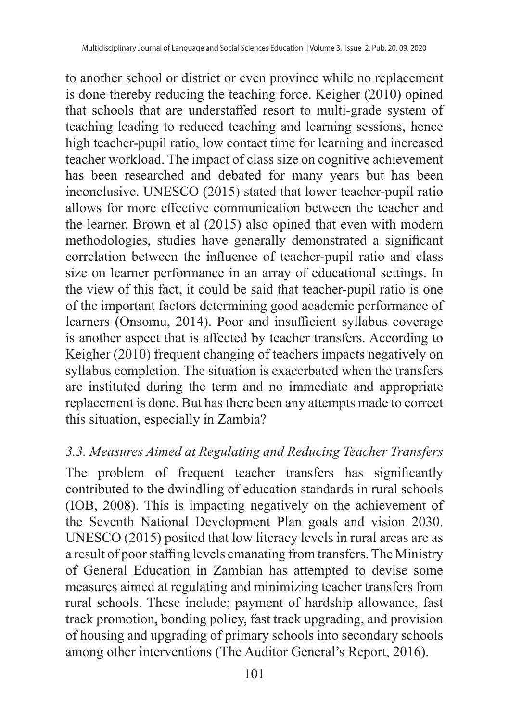to another school or district or even province while no replacement is done thereby reducing the teaching force. Keigher (2010) opined that schools that are understaffed resort to multi-grade system of teaching leading to reduced teaching and learning sessions, hence high teacher-pupil ratio, low contact time for learning and increased teacher workload. The impact of class size on cognitive achievement has been researched and debated for many years but has been inconclusive. UNESCO (2015) stated that lower teacher-pupil ratio allows for more effective communication between the teacher and the learner. Brown et al (2015) also opined that even with modern methodologies, studies have generally demonstrated a significant correlation between the influence of teacher-pupil ratio and class size on learner performance in an array of educational settings. In the view of this fact, it could be said that teacher-pupil ratio is one of the important factors determining good academic performance of learners (Onsomu, 2014). Poor and insufficient syllabus coverage is another aspect that is affected by teacher transfers. According to Keigher (2010) frequent changing of teachers impacts negatively on syllabus completion. The situation is exacerbated when the transfers are instituted during the term and no immediate and appropriate replacement is done. But has there been any attempts made to correct this situation, especially in Zambia?

#### *3.3. Measures Aimed at Regulating and Reducing Teacher Transfers*

The problem of frequent teacher transfers has significantly contributed to the dwindling of education standards in rural schools (IOB, 2008). This is impacting negatively on the achievement of the Seventh National Development Plan goals and vision 2030. UNESCO (2015) posited that low literacy levels in rural areas are as a result of poor staffing levels emanating from transfers. The Ministry of General Education in Zambian has attempted to devise some measures aimed at regulating and minimizing teacher transfers from rural schools. These include; payment of hardship allowance, fast track promotion, bonding policy, fast track upgrading, and provision of housing and upgrading of primary schools into secondary schools among other interventions (The Auditor General's Report, 2016).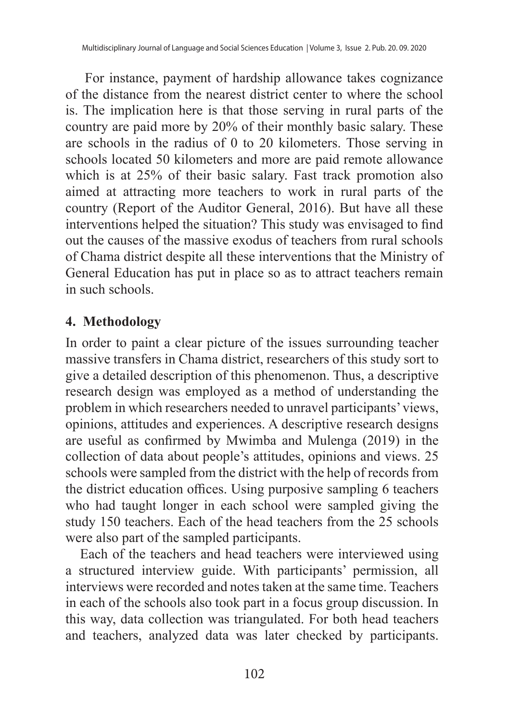For instance, payment of hardship allowance takes cognizance of the distance from the nearest district center to where the school is. The implication here is that those serving in rural parts of the country are paid more by 20% of their monthly basic salary. These are schools in the radius of 0 to 20 kilometers. Those serving in schools located 50 kilometers and more are paid remote allowance which is at 25% of their basic salary. Fast track promotion also aimed at attracting more teachers to work in rural parts of the country (Report of the Auditor General, 2016). But have all these interventions helped the situation? This study was envisaged to find out the causes of the massive exodus of teachers from rural schools of Chama district despite all these interventions that the Ministry of General Education has put in place so as to attract teachers remain in such schools.

#### **4. Methodology**

In order to paint a clear picture of the issues surrounding teacher massive transfers in Chama district, researchers of this study sort to give a detailed description of this phenomenon. Thus, a descriptive research design was employed as a method of understanding the problem in which researchers needed to unravel participants' views, opinions, attitudes and experiences. A descriptive research designs are useful as confirmed by Mwimba and Mulenga (2019) in the collection of data about people's attitudes, opinions and views. 25 schools were sampled from the district with the help of records from the district education offices. Using purposive sampling 6 teachers who had taught longer in each school were sampled giving the study 150 teachers. Each of the head teachers from the 25 schools were also part of the sampled participants.

Each of the teachers and head teachers were interviewed using a structured interview guide. With participants' permission, all interviews were recorded and notes taken at the same time. Teachers in each of the schools also took part in a focus group discussion. In this way, data collection was triangulated. For both head teachers and teachers, analyzed data was later checked by participants.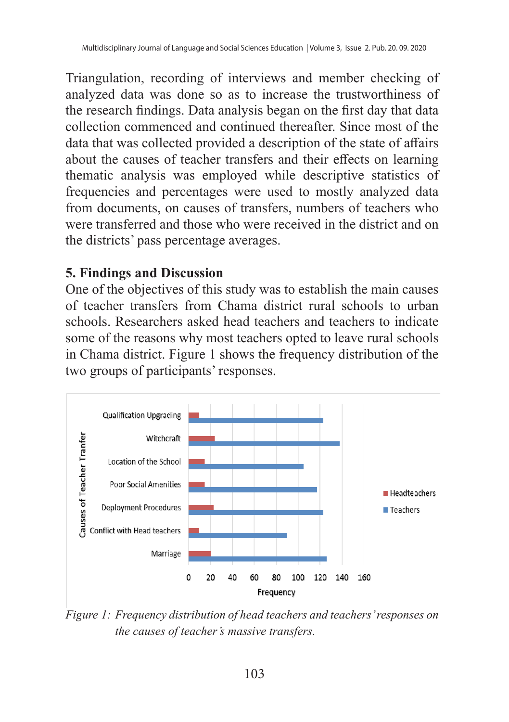Triangulation, recording of interviews and member checking of analyzed data was done so as to increase the trustworthiness of the research findings. Data analysis began on the first day that data collection commenced and continued thereafter. Since most of the data that was collected provided a description of the state of affairs about the causes of teacher transfers and their effects on learning thematic analysis was employed while descriptive statistics of frequencies and percentages were used to mostly analyzed data from documents, on causes of transfers, numbers of teachers who were transferred and those who were received in the district and on the districts' pass percentage averages.

#### **5. Findings and Discussion**

One of the objectives of this study was to establish the main causes of teacher transfers from Chama district rural schools to urban schools. Researchers asked head teachers and teachers to indicate some of the reasons why most teachers opted to leave rural schools in Chama district. Figure 1 shows the frequency distribution of the two groups of participants' responses.



*Figure 1: Frequency distribution of head teachers and teachers' responses on the causes of teacher's massive transfers.*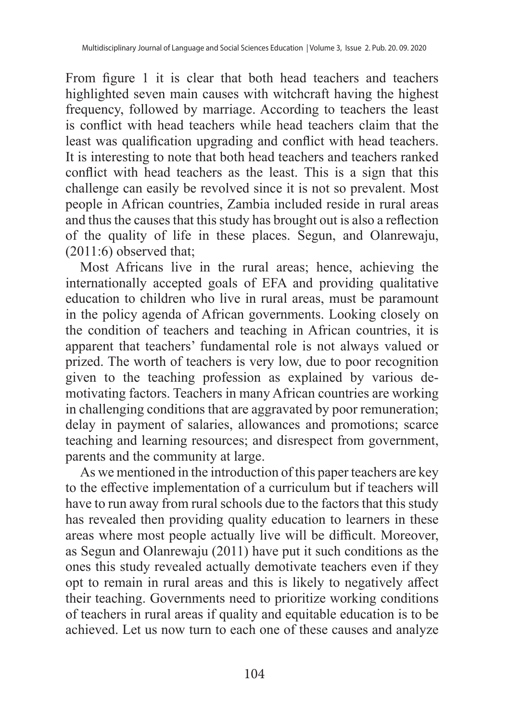From figure 1 it is clear that both head teachers and teachers highlighted seven main causes with witchcraft having the highest frequency, followed by marriage. According to teachers the least is conflict with head teachers while head teachers claim that the least was qualification upgrading and conflict with head teachers. It is interesting to note that both head teachers and teachers ranked conflict with head teachers as the least. This is a sign that this challenge can easily be revolved since it is not so prevalent. Most people in African countries, Zambia included reside in rural areas and thus the causes that this study has brought out is also a reflection of the quality of life in these places. Segun, and Olanrewaju, (2011:6) observed that;

Most Africans live in the rural areas; hence, achieving the internationally accepted goals of EFA and providing qualitative education to children who live in rural areas, must be paramount in the policy agenda of African governments. Looking closely on the condition of teachers and teaching in African countries, it is apparent that teachers' fundamental role is not always valued or prized. The worth of teachers is very low, due to poor recognition given to the teaching profession as explained by various demotivating factors. Teachers in many African countries are working in challenging conditions that are aggravated by poor remuneration; delay in payment of salaries, allowances and promotions; scarce teaching and learning resources; and disrespect from government, parents and the community at large.

As we mentioned in the introduction of this paper teachers are key to the effective implementation of a curriculum but if teachers will have to run away from rural schools due to the factors that this study has revealed then providing quality education to learners in these areas where most people actually live will be difficult. Moreover, as Segun and Olanrewaju (2011) have put it such conditions as the ones this study revealed actually demotivate teachers even if they opt to remain in rural areas and this is likely to negatively affect their teaching. Governments need to prioritize working conditions of teachers in rural areas if quality and equitable education is to be achieved. Let us now turn to each one of these causes and analyze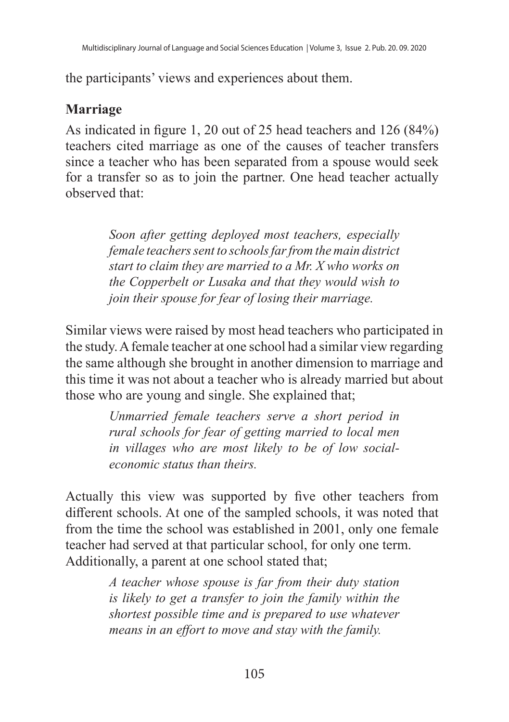the participants' views and experiences about them.

## **Marriage**

As indicated in figure 1, 20 out of 25 head teachers and 126 (84%) teachers cited marriage as one of the causes of teacher transfers since a teacher who has been separated from a spouse would seek for a transfer so as to join the partner. One head teacher actually observed that:

> *Soon after getting deployed most teachers, especially female teachers sent to schools far from the main district start to claim they are married to a Mr. X who works on the Copperbelt or Lusaka and that they would wish to join their spouse for fear of losing their marriage.*

Similar views were raised by most head teachers who participated in the study. A female teacher at one school had a similar view regarding the same although she brought in another dimension to marriage and this time it was not about a teacher who is already married but about those who are young and single. She explained that;

> *Unmarried female teachers serve a short period in rural schools for fear of getting married to local men in villages who are most likely to be of low socialeconomic status than theirs.*

Actually this view was supported by five other teachers from different schools. At one of the sampled schools, it was noted that from the time the school was established in 2001, only one female teacher had served at that particular school, for only one term. Additionally, a parent at one school stated that;

> *A teacher whose spouse is far from their duty station is likely to get a transfer to join the family within the shortest possible time and is prepared to use whatever means in an effort to move and stay with the family.*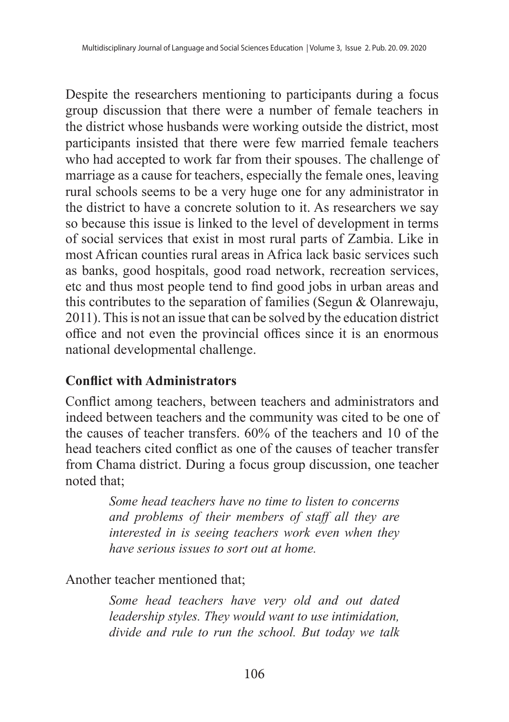Despite the researchers mentioning to participants during a focus group discussion that there were a number of female teachers in the district whose husbands were working outside the district, most participants insisted that there were few married female teachers who had accepted to work far from their spouses. The challenge of marriage as a cause for teachers, especially the female ones, leaving rural schools seems to be a very huge one for any administrator in the district to have a concrete solution to it. As researchers we say so because this issue is linked to the level of development in terms of social services that exist in most rural parts of Zambia. Like in most African counties rural areas in Africa lack basic services such as banks, good hospitals, good road network, recreation services, etc and thus most people tend to find good jobs in urban areas and this contributes to the separation of families (Segun & Olanrewaju, 2011). This is not an issue that can be solved by the education district office and not even the provincial offices since it is an enormous national developmental challenge.

## **Conflict with Administrators**

Conflict among teachers, between teachers and administrators and indeed between teachers and the community was cited to be one of the causes of teacher transfers. 60% of the teachers and 10 of the head teachers cited conflict as one of the causes of teacher transfer from Chama district. During a focus group discussion, one teacher noted that;

> *Some head teachers have no time to listen to concerns and problems of their members of staff all they are interested in is seeing teachers work even when they have serious issues to sort out at home.*

#### Another teacher mentioned that;

*Some head teachers have very old and out dated leadership styles. They would want to use intimidation, divide and rule to run the school. But today we talk*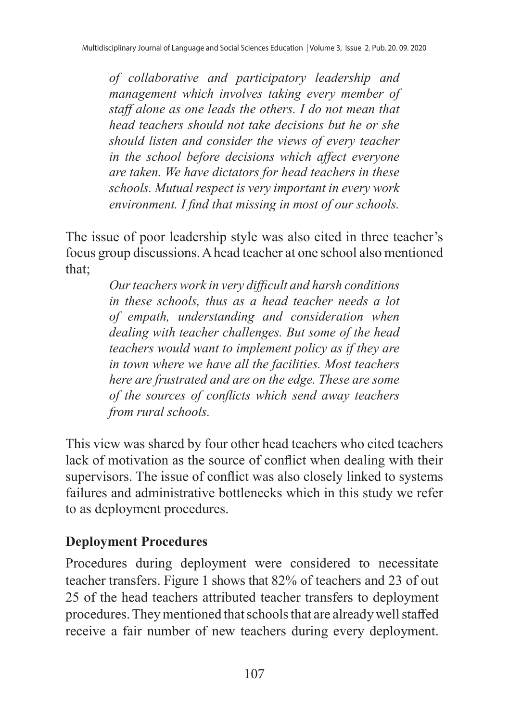*of collaborative and participatory leadership and management which involves taking every member of staff alone as one leads the others. I do not mean that head teachers should not take decisions but he or she should listen and consider the views of every teacher in the school before decisions which affect everyone are taken. We have dictators for head teachers in these schools. Mutual respect is very important in every work environment. I find that missing in most of our schools.*

The issue of poor leadership style was also cited in three teacher's focus group discussions. A head teacher at one school also mentioned that;

> *Our teachers work in very difficult and harsh conditions in these schools, thus as a head teacher needs a lot of empath, understanding and consideration when dealing with teacher challenges. But some of the head teachers would want to implement policy as if they are in town where we have all the facilities. Most teachers here are frustrated and are on the edge. These are some of the sources of conflicts which send away teachers from rural schools.*

This view was shared by four other head teachers who cited teachers lack of motivation as the source of conflict when dealing with their supervisors. The issue of conflict was also closely linked to systems failures and administrative bottlenecks which in this study we refer to as deployment procedures.

## **Deployment Procedures**

Procedures during deployment were considered to necessitate teacher transfers. Figure 1 shows that 82% of teachers and 23 of out 25 of the head teachers attributed teacher transfers to deployment procedures. They mentioned that schools that are alreadywellstaffed receive a fair number of new teachers during every deployment.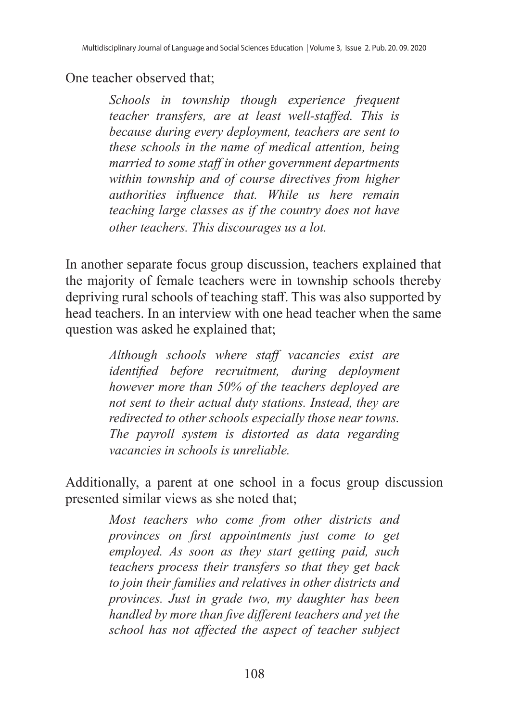#### One teacher observed that;

*Schools in township though experience frequent teacher transfers, are at least well-staffed. This is because during every deployment, teachers are sent to these schools in the name of medical attention, being married to some staff in other government departments within township and of course directives from higher authorities influence that. While us here remain teaching large classes as if the country does not have other teachers. This discourages us a lot.*

In another separate focus group discussion, teachers explained that the majority of female teachers were in township schools thereby depriving rural schools of teaching staff. This was also supported by head teachers. In an interview with one head teacher when the same question was asked he explained that;

> *Although schools where staff vacancies exist are identified before recruitment, during deployment however more than 50% of the teachers deployed are not sent to their actual duty stations. Instead, they are redirected to other schools especially those near towns. The payroll system is distorted as data regarding vacancies in schools is unreliable.*

Additionally, a parent at one school in a focus group discussion presented similar views as she noted that;

> *Most teachers who come from other districts and provinces on first appointments just come to get employed. As soon as they start getting paid, such teachers process their transfers so that they get back to join their families and relatives in other districts and provinces. Just in grade two, my daughter has been handled by more than five different teachers and yet the school has not affected the aspect of teacher subject*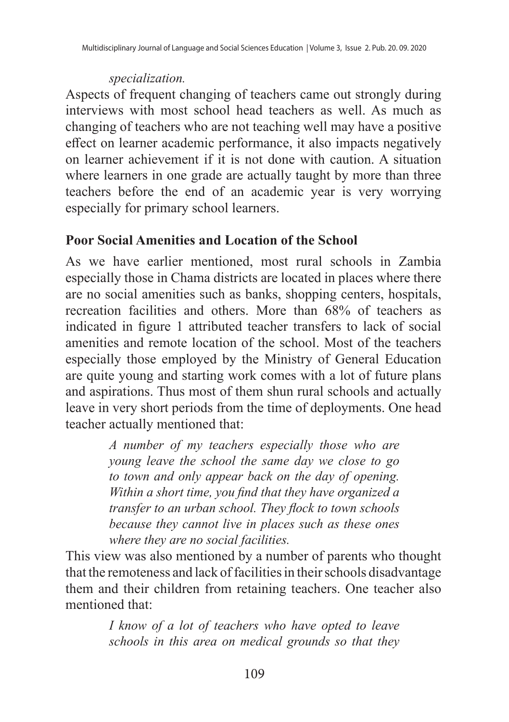#### *specialization.*

Aspects of frequent changing of teachers came out strongly during interviews with most school head teachers as well. As much as changing of teachers who are not teaching well may have a positive effect on learner academic performance, it also impacts negatively on learner achievement if it is not done with caution. A situation where learners in one grade are actually taught by more than three teachers before the end of an academic year is very worrying especially for primary school learners.

## **Poor Social Amenities and Location of the School**

As we have earlier mentioned, most rural schools in Zambia especially those in Chama districts are located in places where there are no social amenities such as banks, shopping centers, hospitals, recreation facilities and others. More than 68% of teachers as indicated in figure 1 attributed teacher transfers to lack of social amenities and remote location of the school. Most of the teachers especially those employed by the Ministry of General Education are quite young and starting work comes with a lot of future plans and aspirations. Thus most of them shun rural schools and actually leave in very short periods from the time of deployments. One head teacher actually mentioned that:

> *A number of my teachers especially those who are young leave the school the same day we close to go to town and only appear back on the day of opening. Within a short time, you find that they have organized a transfer to an urban school. They flock to town schools because they cannot live in places such as these ones where they are no social facilities.*

This view was also mentioned by a number of parents who thought that the remoteness and lack of facilities in their schools disadvantage them and their children from retaining teachers. One teacher also mentioned that:

> *I know of a lot of teachers who have opted to leave schools in this area on medical grounds so that they*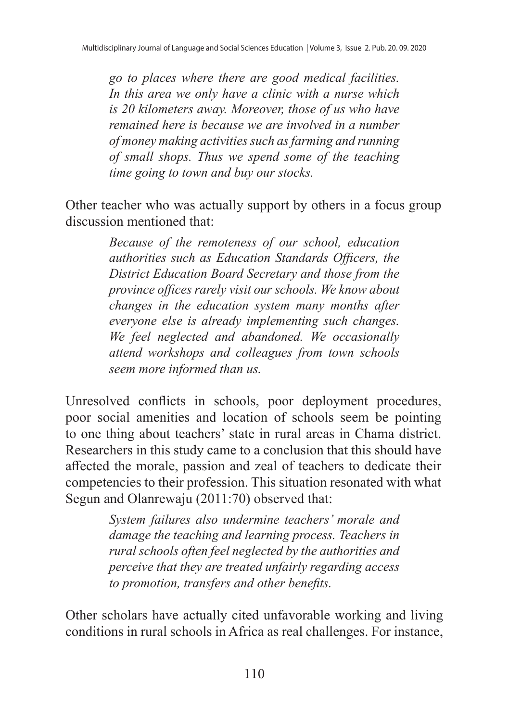*go to places where there are good medical facilities. In this area we only have a clinic with a nurse which is 20 kilometers away. Moreover, those of us who have remained here is because we are involved in a number of money making activities such as farming and running of small shops. Thus we spend some of the teaching time going to town and buy our stocks.*

Other teacher who was actually support by others in a focus group discussion mentioned that:

> *Because of the remoteness of our school, education authorities such as Education Standards Officers, the District Education Board Secretary and those from the province offices rarely visit our schools. We know about changes in the education system many months after everyone else is already implementing such changes. We feel neglected and abandoned. We occasionally attend workshops and colleagues from town schools seem more informed than us.*

Unresolved conflicts in schools, poor deployment procedures, poor social amenities and location of schools seem be pointing to one thing about teachers' state in rural areas in Chama district. Researchers in this study came to a conclusion that this should have affected the morale, passion and zeal of teachers to dedicate their competencies to their profession. This situation resonated with what Segun and Olanrewaju (2011:70) observed that:

> *System failures also undermine teachers' morale and damage the teaching and learning process. Teachers in rural schools often feel neglected by the authorities and perceive that they are treated unfairly regarding access to promotion, transfers and other benefits.*

Other scholars have actually cited unfavorable working and living conditions in rural schools in Africa as real challenges. For instance,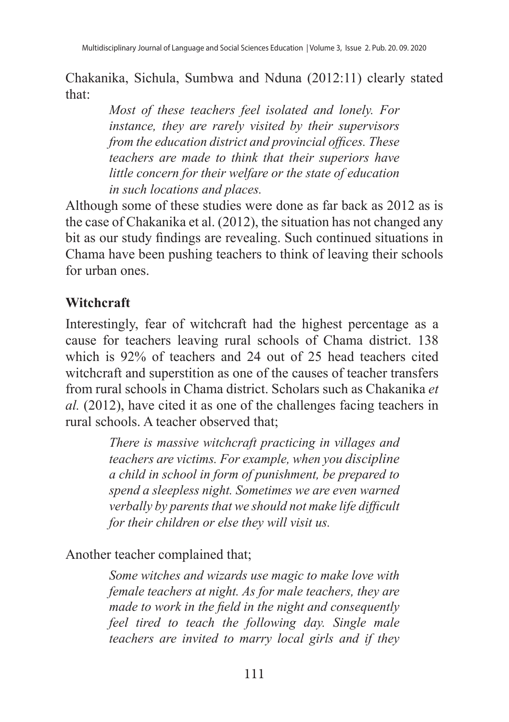Chakanika, Sichula, Sumbwa and Nduna (2012:11) clearly stated that:

> *Most of these teachers feel isolated and lonely. For instance, they are rarely visited by their supervisors from the education district and provincial offices. These teachers are made to think that their superiors have little concern for their welfare or the state of education in such locations and places.*

Although some of these studies were done as far back as 2012 as is the case of Chakanika et al. (2012), the situation has not changed any bit as our study findings are revealing. Such continued situations in Chama have been pushing teachers to think of leaving their schools for urban ones.

## **Witchcraft**

Interestingly, fear of witchcraft had the highest percentage as a cause for teachers leaving rural schools of Chama district. 138 which is 92% of teachers and 24 out of 25 head teachers cited witchcraft and superstition as one of the causes of teacher transfers from rural schools in Chama district. Scholars such as Chakanika *et al.* (2012), have cited it as one of the challenges facing teachers in rural schools. A teacher observed that;

> *There is massive witchcraft practicing in villages and teachers are victims. For example, when you discipline a child in school in form of punishment, be prepared to spend a sleepless night. Sometimes we are even warned verbally by parents that we should not make life difficult for their children or else they will visit us.*

#### Another teacher complained that;

*Some witches and wizards use magic to make love with female teachers at night. As for male teachers, they are made to work in the field in the night and consequently feel tired to teach the following day. Single male teachers are invited to marry local girls and if they*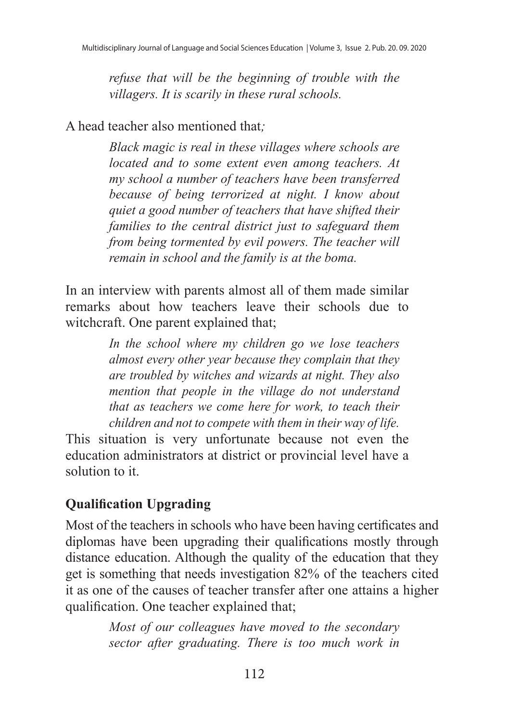*refuse that will be the beginning of trouble with the villagers. It is scarily in these rural schools.*

A head teacher also mentioned that*;*

*Black magic is real in these villages where schools are located and to some extent even among teachers. At my school a number of teachers have been transferred because of being terrorized at night. I know about quiet a good number of teachers that have shifted their families to the central district just to safeguard them from being tormented by evil powers. The teacher will remain in school and the family is at the boma.*

In an interview with parents almost all of them made similar remarks about how teachers leave their schools due to witchcraft. One parent explained that;

> *In the school where my children go we lose teachers almost every other year because they complain that they are troubled by witches and wizards at night. They also mention that people in the village do not understand that as teachers we come here for work, to teach their children and not to compete with them in their way of life.*

This situation is very unfortunate because not even the education administrators at district or provincial level have a solution to it.

# **Qualification Upgrading**

Most of the teachers in schools who have been having certificates and diplomas have been upgrading their qualifications mostly through distance education. Although the quality of the education that they get is something that needs investigation 82% of the teachers cited it as one of the causes of teacher transfer after one attains a higher qualification. One teacher explained that;

> *Most of our colleagues have moved to the secondary sector after graduating. There is too much work in*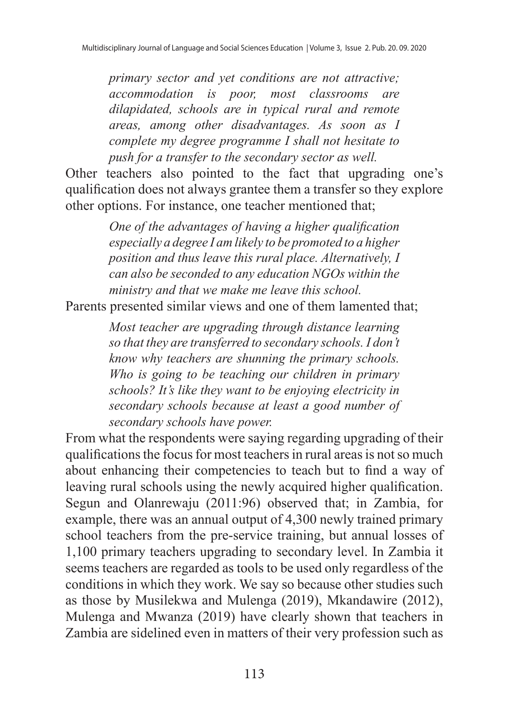*primary sector and yet conditions are not attractive; accommodation is poor, most classrooms are dilapidated, schools are in typical rural and remote areas, among other disadvantages. As soon as I complete my degree programme I shall not hesitate to push for a transfer to the secondary sector as well.*

Other teachers also pointed to the fact that upgrading one's qualification does not always grantee them a transfer so they explore other options. For instance, one teacher mentioned that;

> *One of the advantages of having a higher qualification especially a degree I am likely to be promoted to a higher position and thus leave this rural place. Alternatively, I can also be seconded to any education NGOs within the ministry and that we make me leave this school.*

Parents presented similar views and one of them lamented that;

*Most teacher are upgrading through distance learning so that they are transferred to secondary schools. I don't know why teachers are shunning the primary schools. Who is going to be teaching our children in primary schools? It's like they want to be enjoying electricity in secondary schools because at least a good number of secondary schools have power.*

From what the respondents were saying regarding upgrading of their qualifications the focus for most teachers in rural areas is not so much about enhancing their competencies to teach but to find a way of leaving rural schools using the newly acquired higher qualification. Segun and Olanrewaju (2011:96) observed that; in Zambia, for example, there was an annual output of 4,300 newly trained primary school teachers from the pre-service training, but annual losses of 1,100 primary teachers upgrading to secondary level. In Zambia it seems teachers are regarded as tools to be used only regardless of the conditions in which they work. We say so because other studies such as those by Musilekwa and Mulenga (2019), Mkandawire (2012), Mulenga and Mwanza (2019) have clearly shown that teachers in Zambia are sidelined even in matters of their very profession such as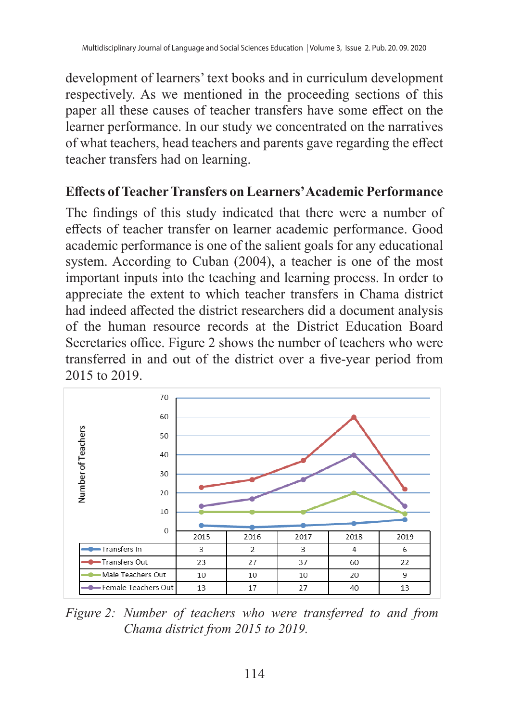development of learners' text books and in curriculum development respectively. As we mentioned in the proceeding sections of this paper all these causes of teacher transfers have some effect on the learner performance. In our study we concentrated on the narratives of what teachers, head teachers and parents gave regarding the effect teacher transfers had on learning.

#### **Effects ofTeacher Transfers on Learners' Academic Performance**

The findings of this study indicated that there were a number of effects of teacher transfer on learner academic performance. Good academic performance is one of the salient goals for any educational system. According to Cuban (2004), a teacher is one of the most important inputs into the teaching and learning process. In order to appreciate the extent to which teacher transfers in Chama district had indeed affected the district researchers did a document analysis of the human resource records at the District Education Board Secretaries office. Figure 2 shows the number of teachers who were transferred in and out of the district over a five-year period from 2015 to 2019.



*Figure 2: Number of teachers who were transferred to and from Chama district from 2015 to 2019.*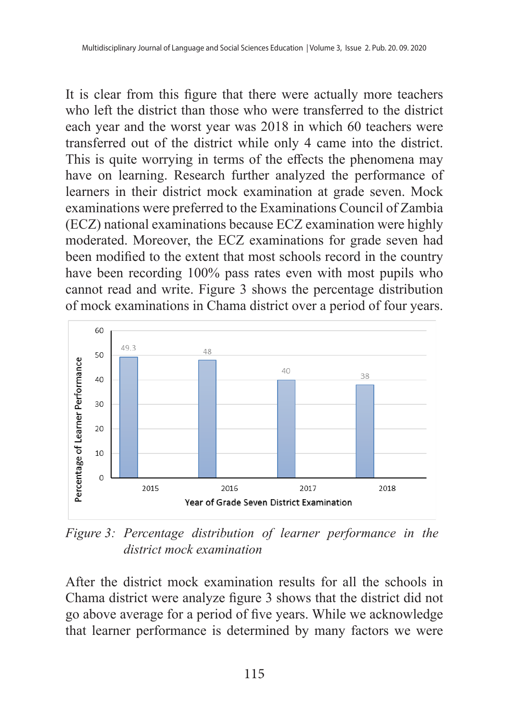It is clear from this figure that there were actually more teachers who left the district than those who were transferred to the district each year and the worst year was 2018 in which 60 teachers were transferred out of the district while only 4 came into the district. This is quite worrying in terms of the effects the phenomena may have on learning. Research further analyzed the performance of learners in their district mock examination at grade seven. Mock examinations were preferred to the Examinations Council of Zambia (ECZ) national examinations because ECZ examination were highly moderated. Moreover, the ECZ examinations for grade seven had been modified to the extent that most schools record in the country have been recording 100% pass rates even with most pupils who cannot read and write. Figure 3 shows the percentage distribution of mock examinations in Chama district over a period of four years.



*Figure 3: Percentage distribution of learner performance in the district mock examination*

After the district mock examination results for all the schools in Chama district were analyze figure 3 shows that the district did not go above average for a period of five years. While we acknowledge that learner performance is determined by many factors we were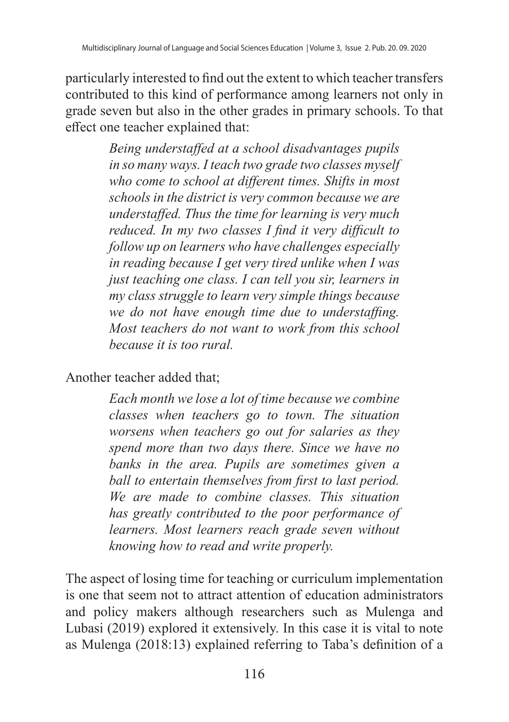particularly interested to find out the extent to which teacher transfers contributed to this kind of performance among learners not only in grade seven but also in the other grades in primary schools. To that effect one teacher explained that:

> *Being understaffed at a school disadvantages pupils in so many ways. I teach two grade two classes myself who come to school at different times. Shifts in most schools in the district is very common because we are understaffed. Thus the time for learning is very much reduced. In my two classes I find it very difficult to follow up on learners who have challenges especially in reading because I get very tired unlike when I was just teaching one class. I can tell you sir, learners in my class struggle to learn very simple things because we do not have enough time due to understaffing. Most teachers do not want to work from this school because it is too rural.*

Another teacher added that;

*Each month we lose a lot of time because we combine classes when teachers go to town. The situation worsens when teachers go out for salaries as they spend more than two days there. Since we have no banks in the area. Pupils are sometimes given a ball to entertain themselves from first to last period. We are made to combine classes. This situation has greatly contributed to the poor performance of learners. Most learners reach grade seven without knowing how to read and write properly.*

The aspect of losing time for teaching or curriculum implementation is one that seem not to attract attention of education administrators and policy makers although researchers such as Mulenga and Lubasi (2019) explored it extensively. In this case it is vital to note as Mulenga (2018:13) explained referring to Taba's definition of a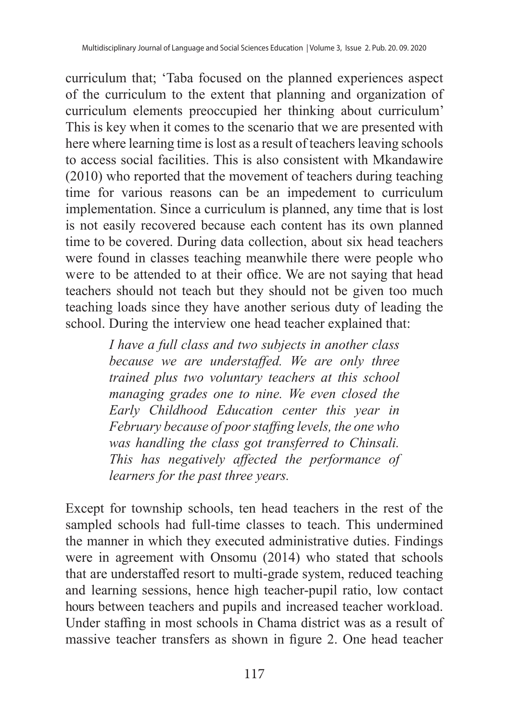curriculum that; 'Taba focused on the planned experiences aspect of the curriculum to the extent that planning and organization of curriculum elements preoccupied her thinking about curriculum' This is key when it comes to the scenario that we are presented with here where learning time is lost as a result of teachers leaving schools to access social facilities. This is also consistent with Mkandawire (2010) who reported that the movement of teachers during teaching time for various reasons can be an impedement to curriculum implementation. Since a curriculum is planned, any time that is lost is not easily recovered because each content has its own planned time to be covered. During data collection, about six head teachers were found in classes teaching meanwhile there were people who were to be attended to at their office. We are not saying that head teachers should not teach but they should not be given too much teaching loads since they have another serious duty of leading the school. During the interview one head teacher explained that:

> *I have a full class and two subjects in another class because we are understaffed. We are only three trained plus two voluntary teachers at this school managing grades one to nine. We even closed the Early Childhood Education center this year in February because of poor staffing levels, the one who was handling the class got transferred to Chinsali. This has negatively affected the performance of learners for the past three years.*

Except for township schools, ten head teachers in the rest of the sampled schools had full-time classes to teach. This undermined the manner in which they executed administrative duties. Findings were in agreement with Onsomu (2014) who stated that schools that are understaffed resort to multi-grade system, reduced teaching and learning sessions, hence high teacher-pupil ratio, low contact hours between teachers and pupils and increased teacher workload. Under staffing in most schools in Chama district was as a result of massive teacher transfers as shown in figure 2. One head teacher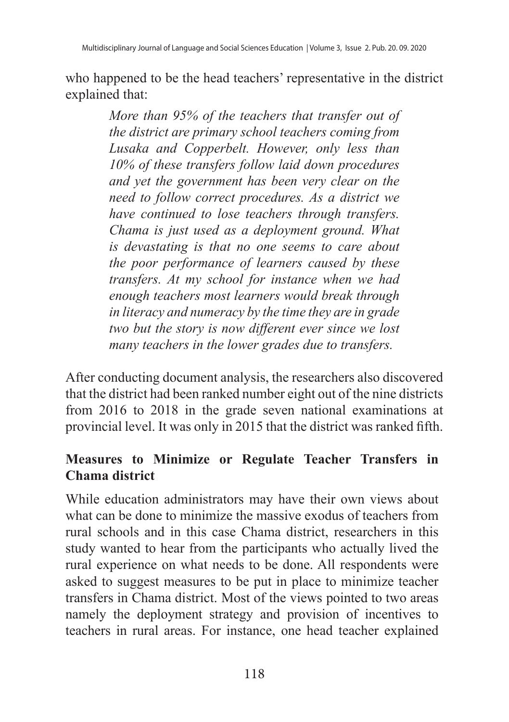who happened to be the head teachers' representative in the district explained that:

> *More than 95% of the teachers that transfer out of the district are primary school teachers coming from Lusaka and Copperbelt. However, only less than 10% of these transfers follow laid down procedures and yet the government has been very clear on the need to follow correct procedures. As a district we have continued to lose teachers through transfers. Chama is just used as a deployment ground. What is devastating is that no one seems to care about the poor performance of learners caused by these transfers. At my school for instance when we had enough teachers most learners would break through in literacy and numeracy by the time they are in grade two but the story is now different ever since we lost many teachers in the lower grades due to transfers.*

After conducting document analysis, the researchers also discovered that the district had been ranked number eight out of the nine districts from 2016 to 2018 in the grade seven national examinations at provincial level. It was only in 2015 that the district was ranked fifth.

## **Measures to Minimize or Regulate Teacher Transfers in Chama district**

While education administrators may have their own views about what can be done to minimize the massive exodus of teachers from rural schools and in this case Chama district, researchers in this study wanted to hear from the participants who actually lived the rural experience on what needs to be done. All respondents were asked to suggest measures to be put in place to minimize teacher transfers in Chama district. Most of the views pointed to two areas namely the deployment strategy and provision of incentives to teachers in rural areas. For instance, one head teacher explained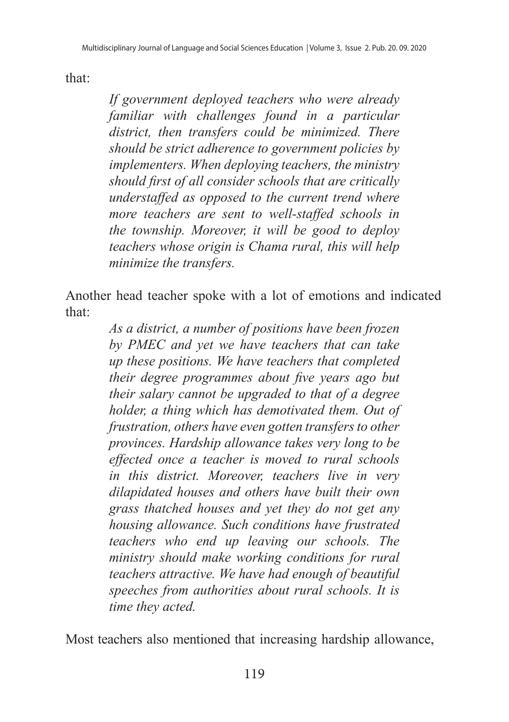that:

*If government deployed teachers who were already familiar with challenges found in a particular district, then transfers could be minimized. There should be strict adherence to government policies by implementers. When deploying teachers, the ministry should first of all consider schools that are critically understaffed as opposed to the current trend where more teachers are sent to well-staffed schools in the township. Moreover, it will be good to deploy teachers whose origin is Chama rural, this will help minimize the transfers.*

Another head teacher spoke with a lot of emotions and indicated that:

> *As a district, a number of positions have been frozen by PMEC and yet we have teachers that can take up these positions. We have teachers that completed their degree programmes about five years ago but their salary cannot be upgraded to that of a degree holder, a thing which has demotivated them. Out of frustration, others have even gotten transfers to other provinces. Hardship allowance takes very long to be effected once a teacher is moved to rural schools in this district. Moreover, teachers live in very dilapidated houses and others have built their own grass thatched houses and yet they do not get any housing allowance. Such conditions have frustrated teachers who end up leaving our schools. The ministry should make working conditions for rural teachers attractive. We have had enough of beautiful speeches from authorities about rural schools. It is time they acted.*

Most teachers also mentioned that increasing hardship allowance,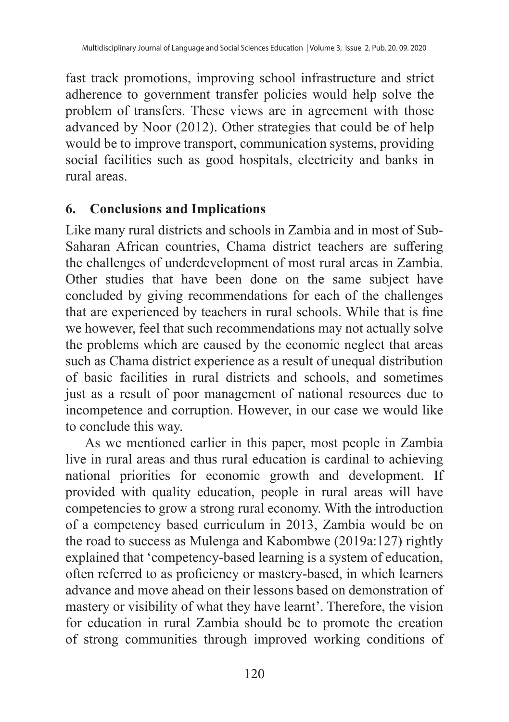fast track promotions, improving school infrastructure and strict adherence to government transfer policies would help solve the problem of transfers. These views are in agreement with those advanced by Noor (2012). Other strategies that could be of help would be to improve transport, communication systems, providing social facilities such as good hospitals, electricity and banks in rural areas.

#### **6. Conclusions and Implications**

Like many rural districts and schools in Zambia and in most of Sub-Saharan African countries, Chama district teachers are suffering the challenges of underdevelopment of most rural areas in Zambia. Other studies that have been done on the same subject have concluded by giving recommendations for each of the challenges that are experienced by teachers in rural schools. While that is fine we however, feel that such recommendations may not actually solve the problems which are caused by the economic neglect that areas such as Chama district experience as a result of unequal distribution of basic facilities in rural districts and schools, and sometimes just as a result of poor management of national resources due to incompetence and corruption. However, in our case we would like to conclude this way.

As we mentioned earlier in this paper, most people in Zambia live in rural areas and thus rural education is cardinal to achieving national priorities for economic growth and development. If provided with quality education, people in rural areas will have competencies to grow a strong rural economy. With the introduction of a competency based curriculum in 2013, Zambia would be on the road to success as Mulenga and Kabombwe (2019a:127) rightly explained that 'competency-based learning is a system of education, often referred to as proficiency or mastery-based, in which learners advance and move ahead on their lessons based on demonstration of mastery or visibility of what they have learnt'. Therefore, the vision for education in rural Zambia should be to promote the creation of strong communities through improved working conditions of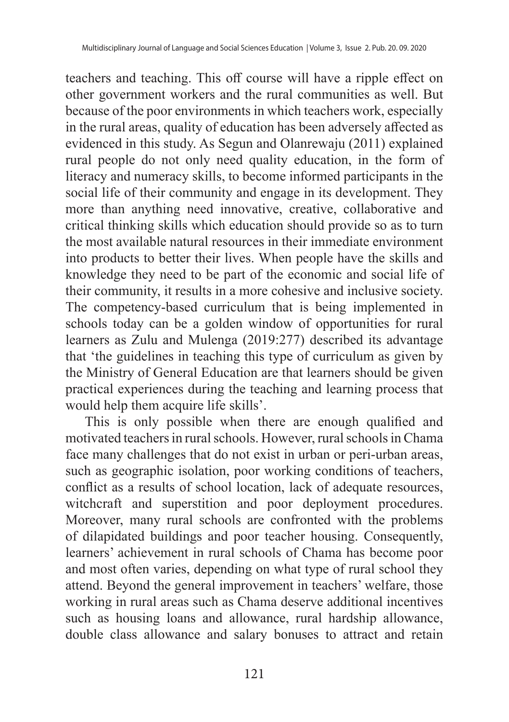teachers and teaching. This off course will have a ripple effect on other government workers and the rural communities as well. But because of the poor environments in which teachers work, especially in the rural areas, quality of education has been adversely affected as evidenced in this study. As Segun and Olanrewaju (2011) explained rural people do not only need quality education, in the form of literacy and numeracy skills, to become informed participants in the social life of their community and engage in its development. They more than anything need innovative, creative, collaborative and critical thinking skills which education should provide so as to turn the most available natural resources in their immediate environment into products to better their lives. When people have the skills and knowledge they need to be part of the economic and social life of their community, it results in a more cohesive and inclusive society. The competency-based curriculum that is being implemented in schools today can be a golden window of opportunities for rural learners as Zulu and Mulenga (2019:277) described its advantage that 'the guidelines in teaching this type of curriculum as given by the Ministry of General Education are that learners should be given practical experiences during the teaching and learning process that would help them acquire life skills'.

This is only possible when there are enough qualified and motivated teachers in rural schools. However, rural schools in Chama face many challenges that do not exist in urban or peri-urban areas, such as geographic isolation, poor working conditions of teachers, conflict as a results of school location, lack of adequate resources, witchcraft and superstition and poor deployment procedures. Moreover, many rural schools are confronted with the problems of dilapidated buildings and poor teacher housing. Consequently, learners' achievement in rural schools of Chama has become poor and most often varies, depending on what type of rural school they attend. Beyond the general improvement in teachers' welfare, those working in rural areas such as Chama deserve additional incentives such as housing loans and allowance, rural hardship allowance, double class allowance and salary bonuses to attract and retain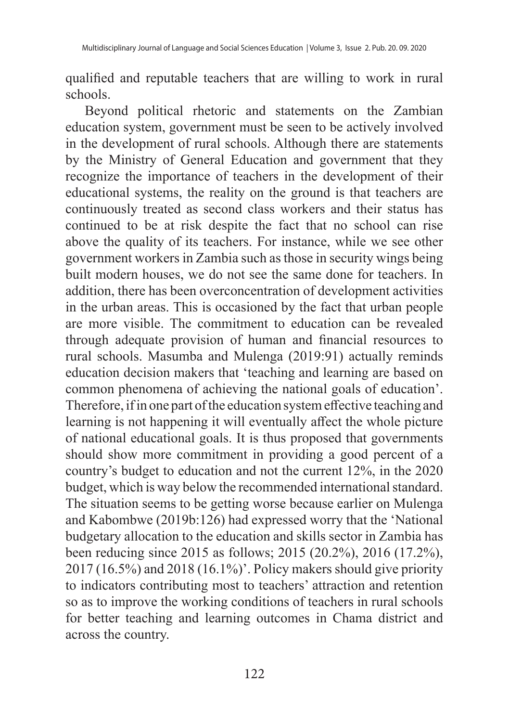qualified and reputable teachers that are willing to work in rural schools.

Beyond political rhetoric and statements on the Zambian education system, government must be seen to be actively involved in the development of rural schools. Although there are statements by the Ministry of General Education and government that they recognize the importance of teachers in the development of their educational systems, the reality on the ground is that teachers are continuously treated as second class workers and their status has continued to be at risk despite the fact that no school can rise above the quality of its teachers. For instance, while we see other government workers in Zambia such as those in security wings being built modern houses, we do not see the same done for teachers. In addition, there has been overconcentration of development activities in the urban areas. This is occasioned by the fact that urban people are more visible. The commitment to education can be revealed through adequate provision of human and financial resources to rural schools. Masumba and Mulenga (2019:91) actually reminds education decision makers that 'teaching and learning are based on common phenomena of achieving the national goals of education'. Therefore, if in one part of the education system effective teaching and learning is not happening it will eventually affect the whole picture of national educational goals. It is thus proposed that governments should show more commitment in providing a good percent of a country's budget to education and not the current 12%, in the 2020 budget, which is way below the recommended international standard. The situation seems to be getting worse because earlier on Mulenga and Kabombwe (2019b:126) had expressed worry that the 'National budgetary allocation to the education and skills sector in Zambia has been reducing since 2015 as follows; 2015 (20.2%), 2016 (17.2%), 2017 (16.5%) and 2018 (16.1%)'. Policy makers should give priority to indicators contributing most to teachers' attraction and retention so as to improve the working conditions of teachers in rural schools for better teaching and learning outcomes in Chama district and across the country.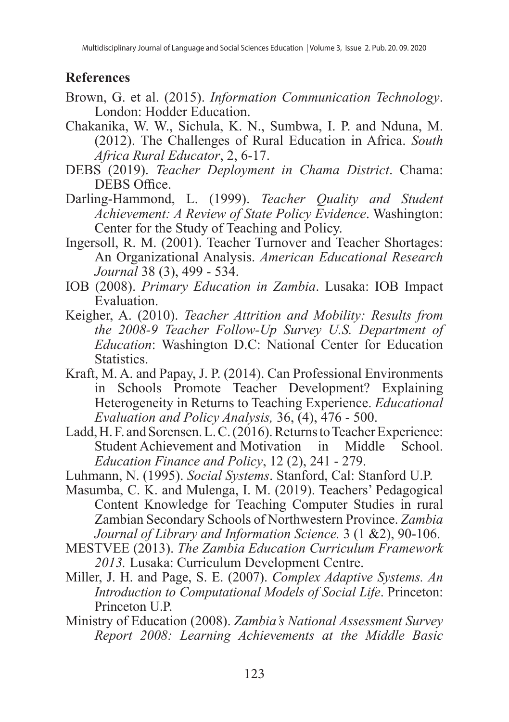#### **References**

- Brown, G. et al. (2015). *Information Communication Technology*. London: Hodder Education.
- Chakanika, W. W., Sichula, K. N., Sumbwa, I. P. and Nduna, M. (2012). The Challenges of Rural Education in Africa. *South Africa Rural Educator*, 2, 6-17.
- DEBS (2019). *Teacher Deployment in Chama District*. Chama: DEBS Office.
- Darling-Hammond, L. (1999). *Teacher Quality and Student Achievement: A Review of State Policy Evidence*. Washington: Center for the Study of Teaching and Policy.
- Ingersoll, R. M. (2001). Teacher Turnover and Teacher Shortages: An Organizational Analysis. *American Educational Research Journal* 38 (3), 499 - 534.
- IOB (2008). *Primary Education in Zambia*. Lusaka: IOB Impact Evaluation.
- Keigher, A. (2010). *Teacher Attrition and Mobility: Results from the 2008-9 Teacher Follow-Up Survey U.S. Department of Education*: Washington D.C: National Center for Education Statistics.
- Kraft, M. A. and Papay, J. P. (2014). Can Professional Environments in Schools Promote Teacher Development? Explaining Heterogeneity in Returns to Teaching Experience. *Educational Evaluation and Policy Analysis,* 36, (4), 476 - 500.
- Ladd, H. F. and Sorensen. L. C. (2016). Returns to Teacher Experience: Student Achievement and Motivation in Middle School. *Education Finance and Policy*, 12 (2), 241 - 279.
- Luhmann, N. (1995). *Social Systems*. Stanford, Cal: Stanford U.P.
- Masumba, C. K. and Mulenga, I. M. (2019). Teachers' Pedagogical Content Knowledge for Teaching Computer Studies in rural Zambian Secondary Schools of Northwestern Province. *Zambia Journal of Library and Information Science.* 3 (1 &2), 90-106.
- MESTVEE (2013). *The Zambia Education Curriculum Framework 2013.* Lusaka: Curriculum Development Centre.
- Miller, J. H. and Page, S. E. (2007). *Complex Adaptive Systems. An Introduction to Computational Models of Social Life*. Princeton: Princeton U.P.
- Ministry of Education (2008). *Zambia's National Assessment Survey Report 2008: Learning Achievements at the Middle Basic*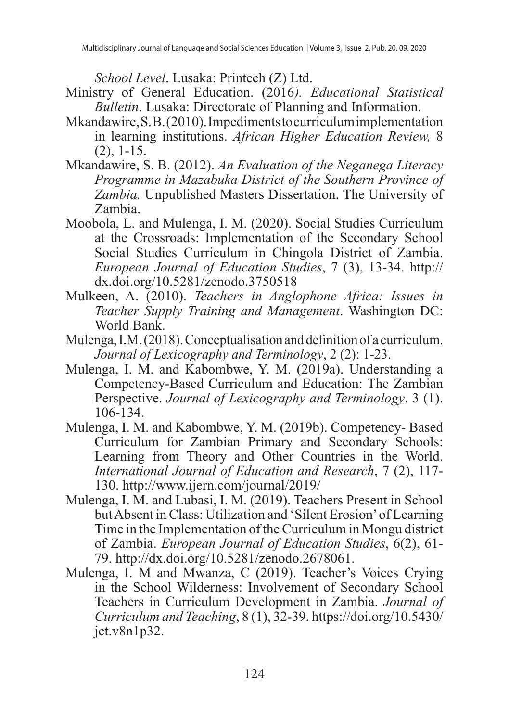*School Level*. Lusaka: Printech (Z) Ltd.

- Ministry of General Education. (2016*). Educational Statistical Bulletin*. Lusaka: Directorate of Planning and Information.
- Mkandawire, S. B. (2010). Impediments to curriculum implementation in learning institutions. *African Higher Education Review,* 8 (2), 1-15.
- Mkandawire, S. B. (2012). *An Evaluation of the Neganega Literacy Programme in Mazabuka District of the Southern Province of Zambia.* Unpublished Masters Dissertation. The University of Zambia.
- Moobola, L. and Mulenga, I. M. (2020). Social Studies Curriculum at the Crossroads: Implementation of the Secondary School Social Studies Curriculum in Chingola District of Zambia. *European Journal of Education Studies*, 7 (3), 13-34. http:// dx.doi.org/10.5281/zenodo.3750518
- Mulkeen, A. (2010). *Teachers in Anglophone Africa: Issues in Teacher Supply Training and Management*. Washington DC: World Bank.
- Mulenga, I.M. (2018). Conceptualisation and definition of a curriculum. *Journal of Lexicography and Terminology*, 2 (2): 1-23.
- Mulenga, I. M. and Kabombwe, Y. M. (2019a). Understanding a Competency-Based Curriculum and Education: The Zambian Perspective. *Journal of Lexicography and Terminology*. 3 (1). 106-134.
- Mulenga, I. M. and Kabombwe, Y. M. (2019b). Competency- Based Curriculum for Zambian Primary and Secondary Schools: Learning from Theory and Other Countries in the World. *International Journal of Education and Research*, 7 (2), 117- 130. http://www.ijern.com/journal/2019/
- Mulenga, I. M. and Lubasi, I. M. (2019). Teachers Present in School but Absent in Class: Utilization and 'Silent Erosion' of Learning Time in the Implementation of the Curriculum in Mongu district of Zambia. *European Journal of Education Studies*, 6(2), 61- 79. http://dx.doi.org/10.5281/zenodo.2678061.
- Mulenga, I. M and Mwanza, C (2019). Teacher's Voices Crying in the School Wilderness: Involvement of Secondary School Teachers in Curriculum Development in Zambia. *Journal of Curriculum and Teaching*, 8 (1), 32-39. https://doi.org/10.5430/ jct.v8n1p32.